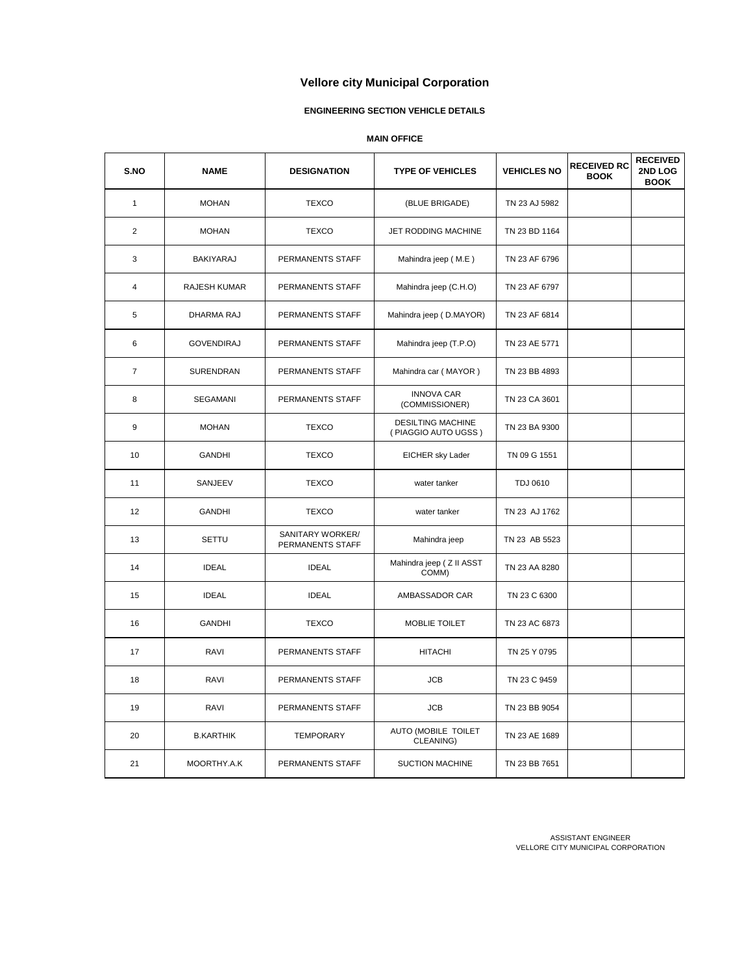## **ENGINEERING SECTION VEHICLE DETAILS**

## **MAIN OFFICE**

| S.NO           | <b>NAME</b>         | <b>DESIGNATION</b>                   | <b>TYPE OF VEHICLES</b>                         | <b>VEHICLES NO</b> | <b>RECEIVED RC</b><br><b>BOOK</b> | <b>RECEIVED</b><br>2ND LOG<br><b>BOOK</b> |
|----------------|---------------------|--------------------------------------|-------------------------------------------------|--------------------|-----------------------------------|-------------------------------------------|
| $\mathbf{1}$   | <b>MOHAN</b>        | <b>TEXCO</b>                         | (BLUE BRIGADE)                                  | TN 23 AJ 5982      |                                   |                                           |
| $\overline{2}$ | <b>MOHAN</b>        | <b>TEXCO</b>                         | JET RODDING MACHINE                             | TN 23 BD 1164      |                                   |                                           |
| 3              | BAKIYARAJ           | PERMANENTS STAFF                     | Mahindra jeep (M.E)                             | TN 23 AF 6796      |                                   |                                           |
| 4              | <b>RAJESH KUMAR</b> | PERMANENTS STAFF                     | Mahindra jeep (C.H.O)                           | TN 23 AF 6797      |                                   |                                           |
| 5              | <b>DHARMA RAJ</b>   | PERMANENTS STAFF                     | Mahindra jeep (D.MAYOR)                         | TN 23 AF 6814      |                                   |                                           |
| 6              | <b>GOVENDIRAJ</b>   | PERMANENTS STAFF                     | Mahindra jeep (T.P.O)                           | TN 23 AE 5771      |                                   |                                           |
| $\overline{7}$ | SURENDRAN           | PERMANENTS STAFF                     | Mahindra car (MAYOR)                            | TN 23 BB 4893      |                                   |                                           |
| 8              | SEGAMANI            | PERMANENTS STAFF                     | <b>INNOVA CAR</b><br>(COMMISSIONER)             | TN 23 CA 3601      |                                   |                                           |
| 9              | <b>MOHAN</b>        | <b>TEXCO</b>                         | <b>DESILTING MACHINE</b><br>(PIAGGIO AUTO UGSS) | TN 23 BA 9300      |                                   |                                           |
| 10             | <b>GANDHI</b>       | <b>TEXCO</b>                         | EICHER sky Lader                                | TN 09 G 1551       |                                   |                                           |
| 11             | SANJEEV             | <b>TEXCO</b>                         | water tanker                                    | <b>TDJ 0610</b>    |                                   |                                           |
| 12             | <b>GANDHI</b>       | <b>TEXCO</b>                         | water tanker                                    | TN 23 AJ 1762      |                                   |                                           |
| 13             | <b>SETTU</b>        | SANITARY WORKER/<br>PERMANENTS STAFF | Mahindra jeep                                   | TN 23 AB 5523      |                                   |                                           |
| 14             | <b>IDEAL</b>        | <b>IDEAL</b>                         | Mahindra jeep ( Z II ASST<br>COMM)              | TN 23 AA 8280      |                                   |                                           |
| 15             | <b>IDEAL</b>        | <b>IDEAL</b>                         | AMBASSADOR CAR                                  | TN 23 C 6300       |                                   |                                           |
| 16             | <b>GANDHI</b>       | <b>TEXCO</b>                         | MOBLIE TOILET                                   | TN 23 AC 6873      |                                   |                                           |
| 17             | RAVI                | PERMANENTS STAFF                     | <b>HITACHI</b>                                  | TN 25 Y 0795       |                                   |                                           |
| 18             | RAVI                | PERMANENTS STAFF                     | <b>JCB</b>                                      | TN 23 C 9459       |                                   |                                           |
| 19             | RAVI                | PERMANENTS STAFF                     | <b>JCB</b>                                      | TN 23 BB 9054      |                                   |                                           |
| 20             | <b>B.KARTHIK</b>    | <b>TEMPORARY</b>                     | AUTO (MOBILE TOILET<br>CLEANING)                | TN 23 AE 1689      |                                   |                                           |
| 21             | MOORTHY.A.K         | PERMANENTS STAFF                     | <b>SUCTION MACHINE</b>                          | TN 23 BB 7651      |                                   |                                           |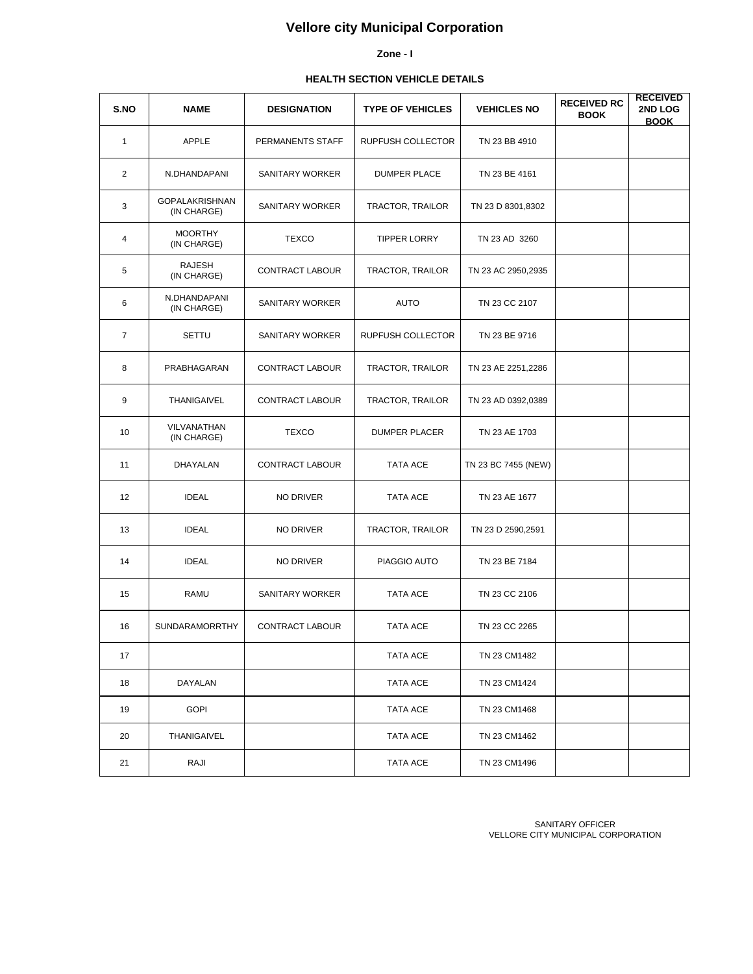#### **Zone - I**

# **HEALTH SECTION VEHICLE DETAILS**

| S.NO           | <b>NAME</b>                          | <b>DESIGNATION</b>     | <b>TYPE OF VEHICLES</b> | <b>VEHICLES NO</b>  | <b>RECEIVED RC</b><br><b>BOOK</b> | <b>RECEIVED</b><br>2ND LOG<br><b>BOOK</b> |
|----------------|--------------------------------------|------------------------|-------------------------|---------------------|-----------------------------------|-------------------------------------------|
| $\mathbf{1}$   | <b>APPLE</b>                         | PERMANENTS STAFF       | RUPFUSH COLLECTOR       | TN 23 BB 4910       |                                   |                                           |
| 2              | N.DHANDAPANI                         | SANITARY WORKER        | <b>DUMPER PLACE</b>     | TN 23 BE 4161       |                                   |                                           |
| 3              | <b>GOPALAKRISHNAN</b><br>(IN CHARGE) | SANITARY WORKER        | TRACTOR, TRAILOR        | TN 23 D 8301,8302   |                                   |                                           |
| 4              | <b>MOORTHY</b><br>(IN CHARGE)        | <b>TEXCO</b>           | <b>TIPPER LORRY</b>     | TN 23 AD 3260       |                                   |                                           |
| 5              | <b>RAJESH</b><br>(IN CHARGE)         | <b>CONTRACT LABOUR</b> | TRACTOR, TRAILOR        | TN 23 AC 2950,2935  |                                   |                                           |
| 6              | N.DHANDAPANI<br>(IN CHARGE)          | SANITARY WORKER        | AUTO                    | TN 23 CC 2107       |                                   |                                           |
| $\overline{7}$ | <b>SETTU</b>                         | SANITARY WORKER        | RUPFUSH COLLECTOR       | TN 23 BE 9716       |                                   |                                           |
| 8              | PRABHAGARAN                          | CONTRACT LABOUR        | TRACTOR, TRAILOR        | TN 23 AE 2251,2286  |                                   |                                           |
| 9              | <b>THANIGAIVEL</b>                   | CONTRACT LABOUR        | TRACTOR, TRAILOR        | TN 23 AD 0392,0389  |                                   |                                           |
| 10             | VILVANATHAN<br>(IN CHARGE)           | <b>TEXCO</b>           | <b>DUMPER PLACER</b>    | TN 23 AE 1703       |                                   |                                           |
| 11             | DHAYALAN                             | CONTRACT LABOUR        | <b>TATA ACE</b>         | TN 23 BC 7455 (NEW) |                                   |                                           |
| 12             | <b>IDEAL</b>                         | NO DRIVER              | TATA ACE                | TN 23 AE 1677       |                                   |                                           |
| 13             | <b>IDEAL</b>                         | NO DRIVER              | TRACTOR, TRAILOR        | TN 23 D 2590,2591   |                                   |                                           |
| 14             | <b>IDEAL</b>                         | NO DRIVER              | PIAGGIO AUTO            | TN 23 BE 7184       |                                   |                                           |
| 15             | <b>RAMU</b>                          | <b>SANITARY WORKER</b> | <b>TATA ACE</b>         | TN 23 CC 2106       |                                   |                                           |
| 16             | SUNDARAMORRTHY                       | CONTRACT LABOUR        | TATA ACE                | TN 23 CC 2265       |                                   |                                           |
| 17             |                                      |                        | TATA ACE                | TN 23 CM1482        |                                   |                                           |
| 18             | DAYALAN                              |                        | TATA ACE                | TN 23 CM1424        |                                   |                                           |
| 19             | <b>GOPI</b>                          |                        | TATA ACE                | TN 23 CM1468        |                                   |                                           |
| 20             | THANIGAIVEL                          |                        | TATA ACE                | TN 23 CM1462        |                                   |                                           |
| 21             | RAJI                                 |                        | TATA ACE                | TN 23 CM1496        |                                   |                                           |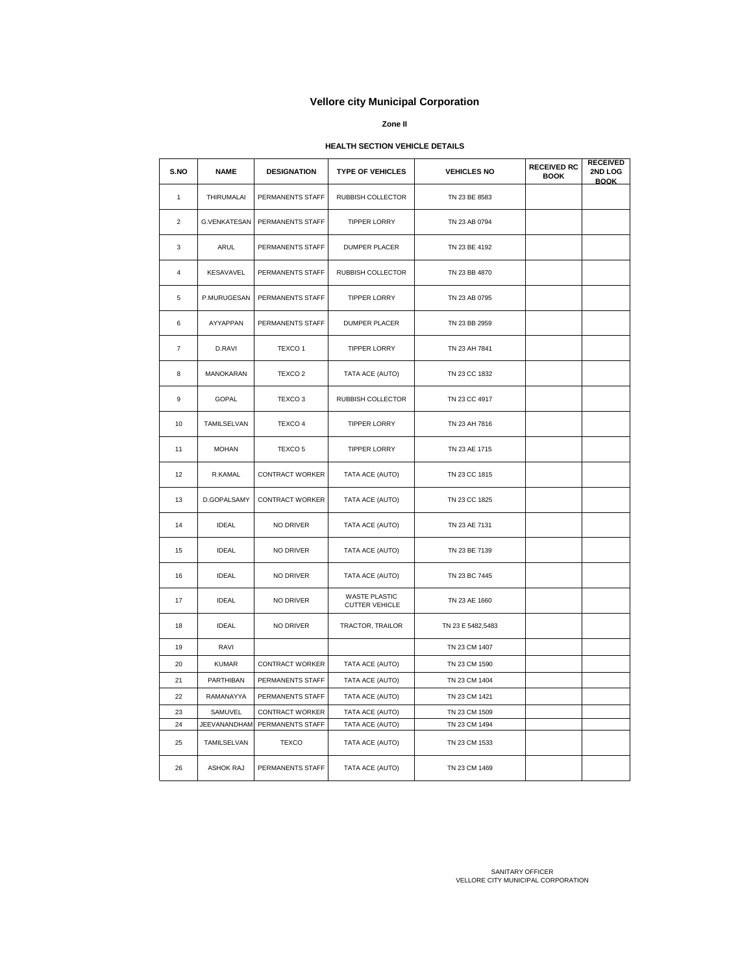#### **Zone II**

#### **HEALTH SECTION VEHICLE DETAILS**

| S.NO           | <b>NAME</b>      | <b>DESIGNATION</b>     | <b>TYPE OF VEHICLES</b>                | <b>VEHICLES NO</b> | <b>RECEIVED RC</b><br><b>BOOK</b> | <b>RECEIVED</b><br>2ND LOG<br><b>BOOK</b> |
|----------------|------------------|------------------------|----------------------------------------|--------------------|-----------------------------------|-------------------------------------------|
| 1              | THIRUMALAI       | PERMANENTS STAFF       | RUBBISH COLLECTOR                      | TN 23 BE 8583      |                                   |                                           |
| $\overline{2}$ | G.VENKATESAN     | PERMANENTS STAFF       | <b>TIPPER LORRY</b>                    | TN 23 AB 0794      |                                   |                                           |
| 3              | ARUL             | PERMANENTS STAFF       | <b>DUMPER PLACER</b>                   | TN 23 BE 4192      |                                   |                                           |
| 4              | <b>KESAVAVEL</b> | PERMANENTS STAFF       | RUBBISH COLLECTOR                      | TN 23 BB 4870      |                                   |                                           |
| 5              | P.MURUGESAN      | PERMANENTS STAFF       | <b>TIPPER LORRY</b>                    | TN 23 AB 0795      |                                   |                                           |
| 6              | AYYAPPAN         | PERMANENTS STAFF       | DUMPER PLACER                          | TN 23 BB 2959      |                                   |                                           |
| $\overline{7}$ | D.RAVI           | TEXCO <sub>1</sub>     | <b>TIPPER LORRY</b>                    | TN 23 AH 7841      |                                   |                                           |
| 8              | MANOKARAN        | TEXCO <sub>2</sub>     | TATA ACE (AUTO)                        | TN 23 CC 1832      |                                   |                                           |
| 9              | <b>GOPAL</b>     | TEXCO <sub>3</sub>     | RUBBISH COLLECTOR                      | TN 23 CC 4917      |                                   |                                           |
| 10             | TAMILSELVAN      | TEXCO 4                | <b>TIPPER LORRY</b>                    | TN 23 AH 7816      |                                   |                                           |
| 11             | <b>MOHAN</b>     | TEXCO <sub>5</sub>     | <b>TIPPER LORRY</b>                    | TN 23 AE 1715      |                                   |                                           |
| 12             | R.KAMAL          | <b>CONTRACT WORKER</b> | TATA ACE (AUTO)                        | TN 23 CC 1815      |                                   |                                           |
| 13             | D.GOPALSAMY      | <b>CONTRACT WORKER</b> | TATA ACE (AUTO)                        | TN 23 CC 1825      |                                   |                                           |
| 14             | <b>IDEAL</b>     | NO DRIVER              | TATA ACE (AUTO)                        | TN 23 AE 7131      |                                   |                                           |
| 15             | <b>IDEAL</b>     | NO DRIVER              | TATA ACE (AUTO)                        | TN 23 BE 7139      |                                   |                                           |
| 16             | <b>IDEAL</b>     | NO DRIVER              | TATA ACE (AUTO)                        | TN 23 BC 7445      |                                   |                                           |
| 17             | <b>IDEAL</b>     | NO DRIVER              | WASTE PLASTIC<br><b>CUTTER VEHICLE</b> | TN 23 AE 1660      |                                   |                                           |
| 18             | <b>IDEAL</b>     | NO DRIVER              | TRACTOR, TRAILOR                       | TN 23 E 5482,5483  |                                   |                                           |
| 19             | RAVI             |                        |                                        | TN 23 CM 1407      |                                   |                                           |
| 20             | <b>KUMAR</b>     | <b>CONTRACT WORKER</b> | TATA ACE (AUTO)                        | TN 23 CM 1590      |                                   |                                           |
| 21             | PARTHIBAN        | PERMANENTS STAFF       | TATA ACE (AUTO)                        | TN 23 CM 1404      |                                   |                                           |
| 22             | RAMANAYYA        | PERMANENTS STAFF       | TATA ACE (AUTO)                        | TN 23 CM 1421      |                                   |                                           |
| 23             | SAMUVEL          | <b>CONTRACT WORKER</b> | TATA ACE (AUTO)                        | TN 23 CM 1509      |                                   |                                           |
| 24             | JEEVANANDHAM     | PERMANENTS STAFF       | TATA ACE (AUTO)                        | TN 23 CM 1494      |                                   |                                           |
| 25             | TAMILSELVAN      | <b>TEXCO</b>           | TATA ACE (AUTO)                        | TN 23 CM 1533      |                                   |                                           |
| 26             | <b>ASHOK RAJ</b> | PERMANENTS STAFF       | TATA ACE (AUTO)                        | TN 23 CM 1469      |                                   |                                           |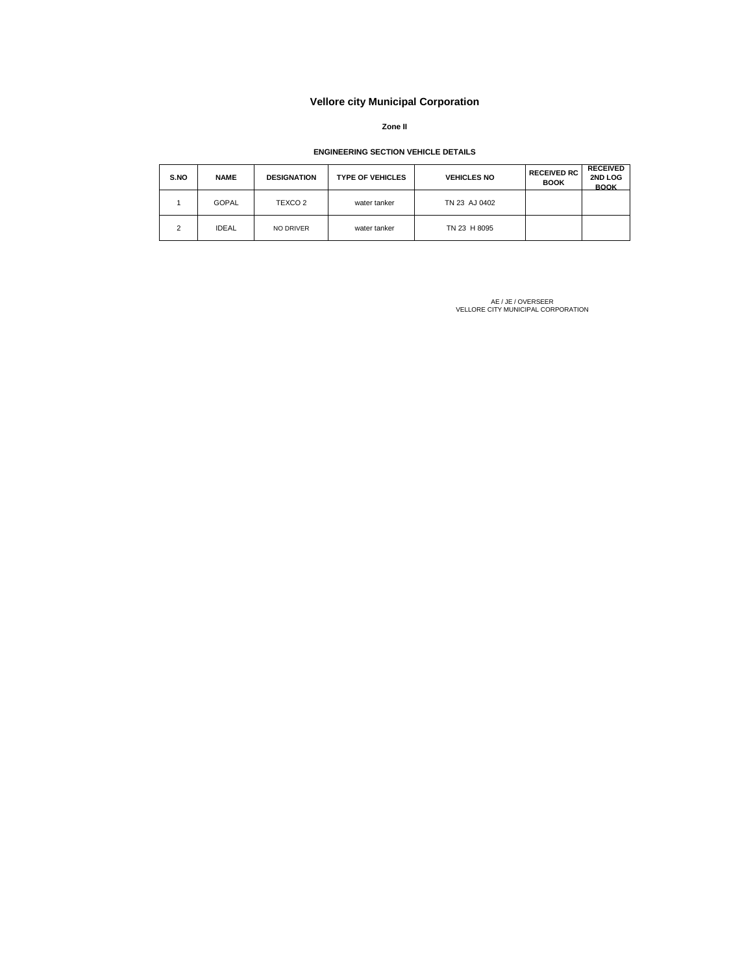**Zone II**

#### **ENGINEERING SECTION VEHICLE DETAILS**

| S.NO | <b>NAME</b>  | <b>DESIGNATION</b> | <b>TYPE OF VEHICLES</b> | <b>VEHICLES NO</b> | <b>RECEIVED RC</b><br><b>BOOK</b> | <b>RECEIVED</b><br>2ND LOG<br><b>BOOK</b> |
|------|--------------|--------------------|-------------------------|--------------------|-----------------------------------|-------------------------------------------|
|      | <b>GOPAL</b> | TEXCO 2            | water tanker            | TN 23 AJ 0402      |                                   |                                           |
| 2    | <b>IDEAL</b> | NO DRIVER          | water tanker            | TN 23 H 8095       |                                   |                                           |

AE / JE / OVERSEER VELLORE CITY MUNICIPAL CORPORATION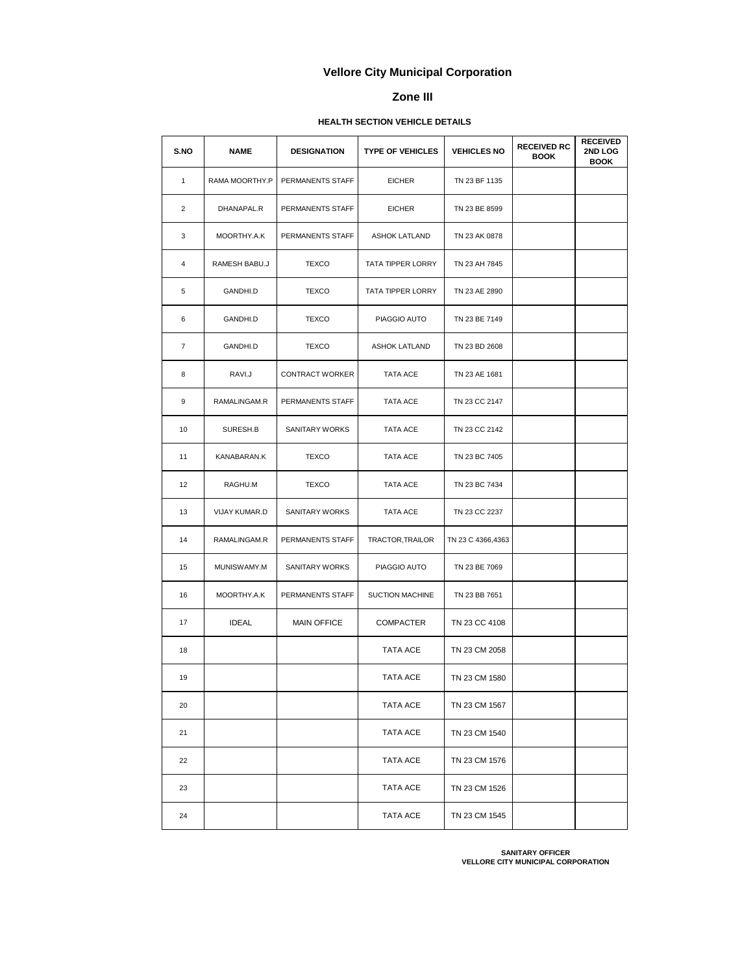### **Zone III**

# **HEALTH SECTION VEHICLE DETAILS**

| S.NO           | NAME           | <b>DESIGNATION</b>     | <b>TYPE OF VEHICLES</b> | <b>VEHICLES NO</b> | <b>RECEIVED RC</b><br><b>BOOK</b> | <b>RECEIVED</b><br>2ND LOG<br><b>BOOK</b> |
|----------------|----------------|------------------------|-------------------------|--------------------|-----------------------------------|-------------------------------------------|
| $\mathbf{1}$   | RAMA MOORTHY.P | PERMANENTS STAFF       | <b>EICHER</b>           | TN 23 BF 1135      |                                   |                                           |
| 2              | DHANAPAL.R     | PERMANENTS STAFF       | <b>EICHER</b>           | TN 23 BE 8599      |                                   |                                           |
| 3              | MOORTHY.A.K    | PERMANENTS STAFF       | <b>ASHOK LATLAND</b>    | TN 23 AK 0878      |                                   |                                           |
| 4              | RAMESH BABU.J  | <b>TEXCO</b>           | TATA TIPPER LORRY       | TN 23 AH 7845      |                                   |                                           |
| 5              | GANDHI.D       | <b>TEXCO</b>           | TATA TIPPER LORRY       | TN 23 AE 2890      |                                   |                                           |
| 6              | GANDHI.D       | <b>TEXCO</b>           | PIAGGIO AUTO            | TN 23 BE 7149      |                                   |                                           |
| $\overline{7}$ | GANDHI.D       | <b>TEXCO</b>           | <b>ASHOK LATLAND</b>    | TN 23 BD 2608      |                                   |                                           |
| 8              | RAVI.J         | <b>CONTRACT WORKER</b> | TATA ACE                | TN 23 AE 1681      |                                   |                                           |
| 9              | RAMALINGAM.R   | PERMANENTS STAFF       | TATA ACE                | TN 23 CC 2147      |                                   |                                           |
| 10             | SURESH.B       | SANITARY WORKS         | TATA ACE                | TN 23 CC 2142      |                                   |                                           |
| 11             | KANABARAN.K    | <b>TEXCO</b>           | TATA ACE                | TN 23 BC 7405      |                                   |                                           |
| 12             | RAGHU.M        | <b>TEXCO</b>           | TATA ACE                | TN 23 BC 7434      |                                   |                                           |
| 13             | VIJAY KUMAR.D  | SANITARY WORKS         | TATA ACE                | TN 23 CC 2237      |                                   |                                           |
| 14             | RAMALINGAM.R   | PERMANENTS STAFF       | TRACTOR, TRAILOR        | TN 23 C 4366,4363  |                                   |                                           |
| 15             | MUNISWAMY.M    | SANITARY WORKS         | PIAGGIO AUTO            | TN 23 BE 7069      |                                   |                                           |
| 16             | MOORTHY.A.K    | PERMANENTS STAFF       | SUCTION MACHINE         | TN 23 BB 7651      |                                   |                                           |
| 17             | <b>IDEAL</b>   | <b>MAIN OFFICE</b>     | <b>COMPACTER</b>        | TN 23 CC 4108      |                                   |                                           |
| 18             |                |                        | TATA ACE                | TN 23 CM 2058      |                                   |                                           |
| 19             |                |                        | TATA ACE                | TN 23 CM 1580      |                                   |                                           |
| 20             |                |                        | TATA ACE                | TN 23 CM 1567      |                                   |                                           |
| 21             |                |                        | TATA ACE                | TN 23 CM 1540      |                                   |                                           |
| 22             |                |                        | TATA ACE                | TN 23 CM 1576      |                                   |                                           |
| 23             |                |                        | TATA ACE                | TN 23 CM 1526      |                                   |                                           |
| 24             |                |                        | TATA ACE                | TN 23 CM 1545      |                                   |                                           |

**SANITARY OFFICER VELLORE CITY MUNICIPAL CORPORATION**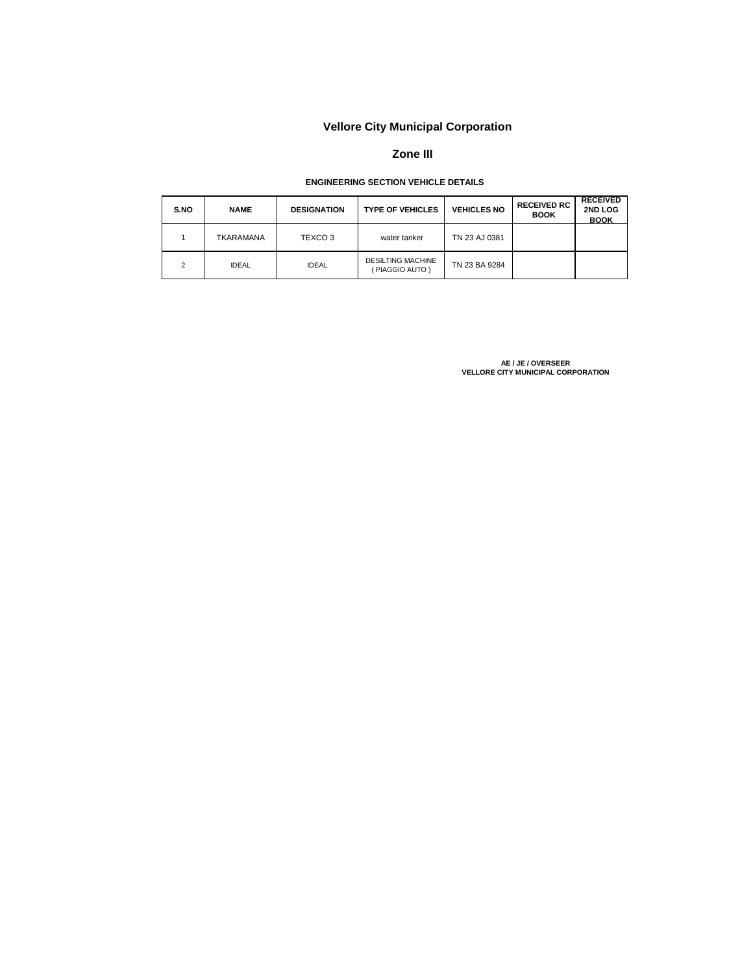## **Zone III**

## **ENGINEERING SECTION VEHICLE DETAILS**

| S.NO | <b>NAME</b>  | <b>DESIGNATION</b> | <b>TYPE OF VEHICLES</b>                   | <b>VEHICLES NO</b> | <b>RECEIVED RC</b><br><b>BOOK</b> | <b>RECEIVED</b><br>2ND LOG<br><b>BOOK</b> |
|------|--------------|--------------------|-------------------------------------------|--------------------|-----------------------------------|-------------------------------------------|
|      | TKARAMANA    | TEXCO <sub>3</sub> | water tanker                              | TN 23 AJ 0381      |                                   |                                           |
| っ    | <b>IDEAL</b> | <b>IDEAL</b>       | <b>DESILTING MACHINE</b><br>PIAGGIO AUTO) | TN 23 BA 9284      |                                   |                                           |

AE / JE / OVERSEER<br>VELLORE CITY MUNICIPAL CORPORATION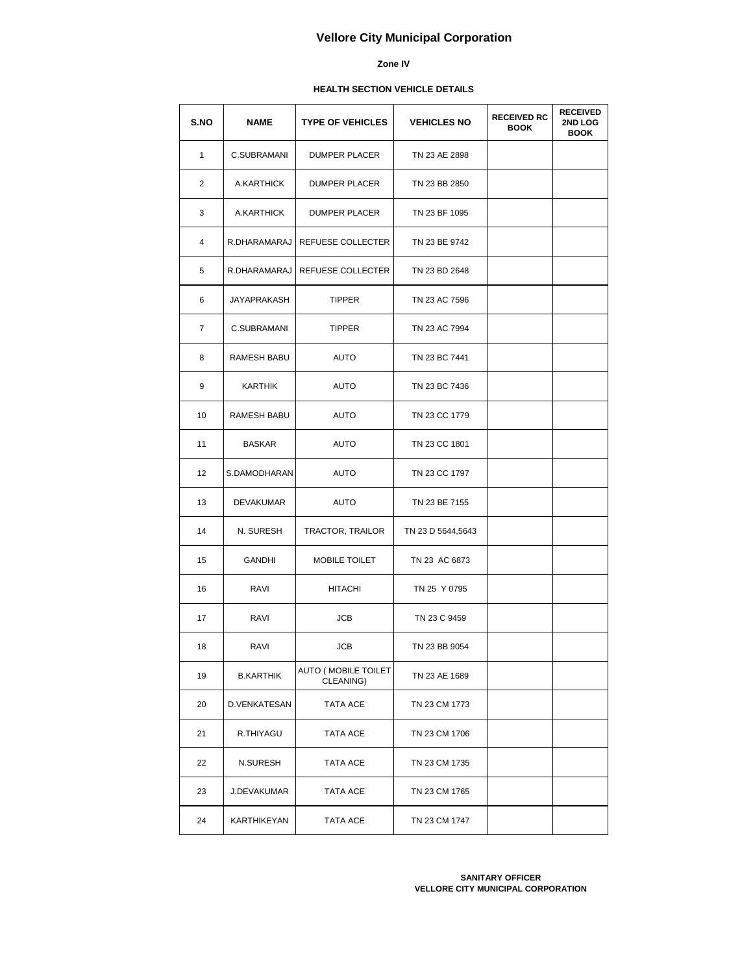#### **Zone IV**

## **HEALTH SECTION VEHICLE DETAILS**

| S.NO           | NAME               | <b>TYPE OF VEHICLES</b>          | <b>VEHICLES NO</b> | <b>RECEIVED RC</b><br><b>BOOK</b> | <b>RECEIVED</b><br><b>2ND LOG</b><br><b>BOOK</b> |
|----------------|--------------------|----------------------------------|--------------------|-----------------------------------|--------------------------------------------------|
| $\mathbf{1}$   | C.SUBRAMANI        | <b>DUMPER PLACER</b>             | TN 23 AE 2898      |                                   |                                                  |
| $\overline{2}$ | A.KARTHICK         | <b>DUMPER PLACER</b>             | TN 23 BB 2850      |                                   |                                                  |
| 3              | A.KARTHICK         | <b>DUMPER PLACER</b>             | TN 23 BF 1095      |                                   |                                                  |
| 4              | R.DHARAMARAJ       | REFUESE COLLECTER                | TN 23 BE 9742      |                                   |                                                  |
| 5              |                    | R.DHARAMARAJ   REFUESE COLLECTER | TN 23 BD 2648      |                                   |                                                  |
| 6              | JAYAPRAKASH        | <b>TIPPER</b>                    | TN 23 AC 7596      |                                   |                                                  |
| $\overline{7}$ | C.SUBRAMANI        | <b>TIPPER</b>                    | TN 23 AC 7994      |                                   |                                                  |
| 8              | RAMESH BABU        | <b>AUTO</b>                      | TN 23 BC 7441      |                                   |                                                  |
| 9              | <b>KARTHIK</b>     | <b>AUTO</b>                      | TN 23 BC 7436      |                                   |                                                  |
| 10             | <b>RAMESH BABU</b> | AUTO                             | TN 23 CC 1779      |                                   |                                                  |
| 11             | <b>BASKAR</b>      | AUTO                             | TN 23 CC 1801      |                                   |                                                  |
| 12             | S.DAMODHARAN       | <b>AUTO</b>                      | TN 23 CC 1797      |                                   |                                                  |
| 13             | <b>DEVAKUMAR</b>   | AUTO                             | TN 23 BE 7155      |                                   |                                                  |
| 14             | N. SURESH          | TRACTOR, TRAILOR                 | TN 23 D 5644,5643  |                                   |                                                  |
| 15             | <b>GANDHI</b>      | MOBILE TOILET                    | TN 23 AC 6873      |                                   |                                                  |
| 16             | RAVI               | <b>HITACHI</b>                   | TN 25 Y 0795       |                                   |                                                  |
| 17             | RAVI               | <b>JCB</b>                       | TN 23 C 9459       |                                   |                                                  |
| 18             | RAVI               | <b>JCB</b>                       | TN 23 BB 9054      |                                   |                                                  |
| 19             | <b>B.KARTHIK</b>   | AUTO (MOBILE TOILET<br>CLEANING) | TN 23 AE 1689      |                                   |                                                  |
| 20             | D.VENKATESAN       | TATA ACE                         | TN 23 CM 1773      |                                   |                                                  |
| 21             | R.THIYAGU          | TATA ACE                         | TN 23 CM 1706      |                                   |                                                  |
| 22             | N.SURESH           | TATA ACE                         | TN 23 CM 1735      |                                   |                                                  |
| 23             | J.DEVAKUMAR        | TATA ACE                         | TN 23 CM 1765      |                                   |                                                  |
| 24             | KARTHIKEYAN        | TATA ACE                         | TN 23 CM 1747      |                                   |                                                  |